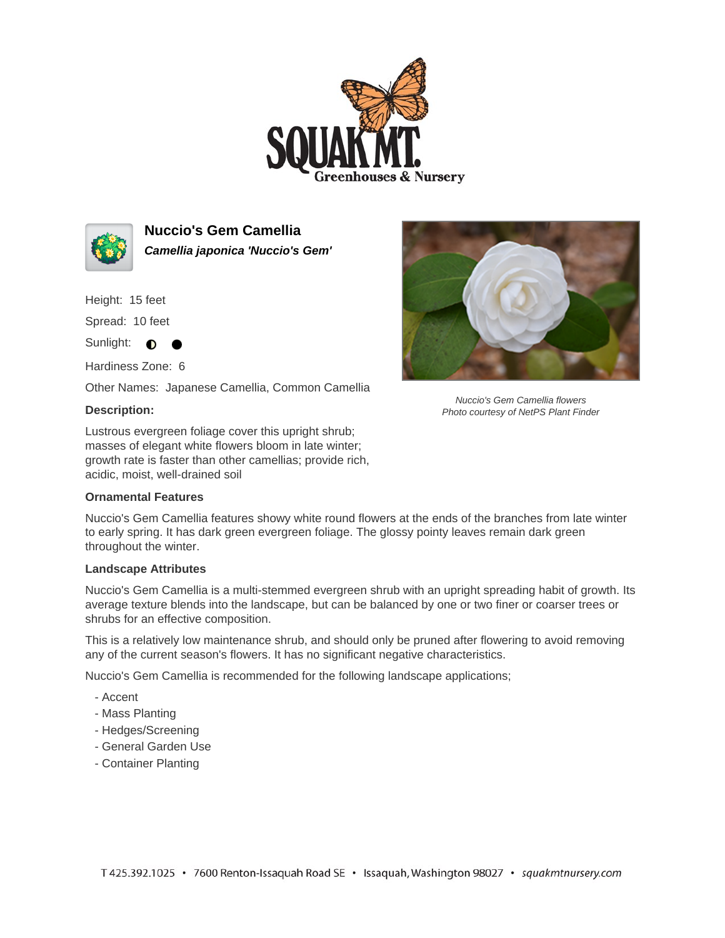



**Nuccio's Gem Camellia Camellia japonica 'Nuccio's Gem'**

Height: 15 feet

Spread: 10 feet

Sunlight: **0** 

Hardiness Zone: 6

Other Names: Japanese Camellia, Common Camellia

## **Description:**

Lustrous evergreen foliage cover this upright shrub; masses of elegant white flowers bloom in late winter; growth rate is faster than other camellias; provide rich, acidic, moist, well-drained soil

## **Ornamental Features**



Nuccio's Gem Camellia flowers Photo courtesy of NetPS Plant Finder

Nuccio's Gem Camellia features showy white round flowers at the ends of the branches from late winter to early spring. It has dark green evergreen foliage. The glossy pointy leaves remain dark green throughout the winter.

## **Landscape Attributes**

Nuccio's Gem Camellia is a multi-stemmed evergreen shrub with an upright spreading habit of growth. Its average texture blends into the landscape, but can be balanced by one or two finer or coarser trees or shrubs for an effective composition.

This is a relatively low maintenance shrub, and should only be pruned after flowering to avoid removing any of the current season's flowers. It has no significant negative characteristics.

Nuccio's Gem Camellia is recommended for the following landscape applications;

- Accent
- Mass Planting
- Hedges/Screening
- General Garden Use
- Container Planting